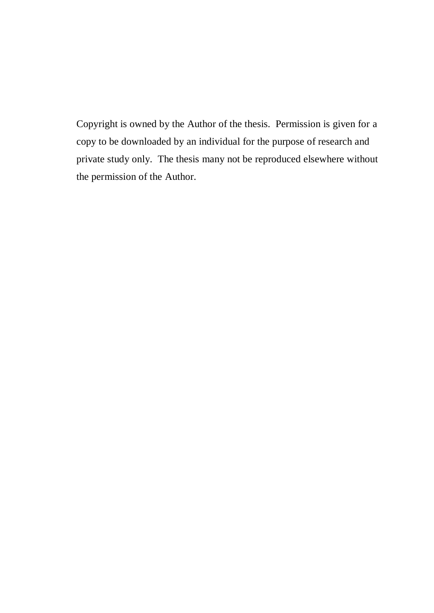Copyright is owned by the Author of the thesis. Permission is given for a copy to be downloaded by an individual for the purpose of research and private study only. The thesis many not be reproduced elsewhere without the permission of the Author.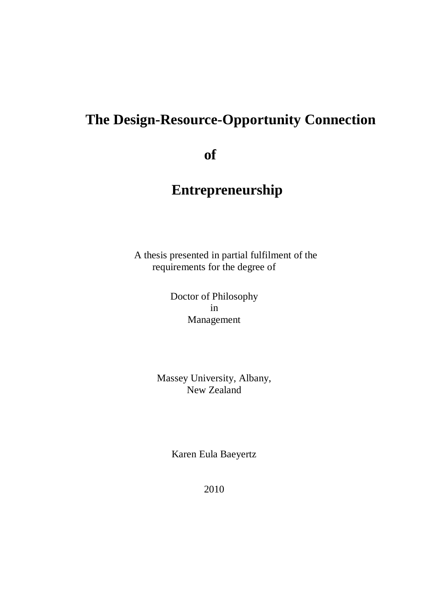# **The Design-Resource-Opportunity Connection**

 **of**

# **Entrepreneurship**

 A thesis presented in partial fulfilment of the requirements for the degree of

> Doctor of Philosophy in Management

Massey University, Albany, New Zealand

Karen Eula Baeyertz

2010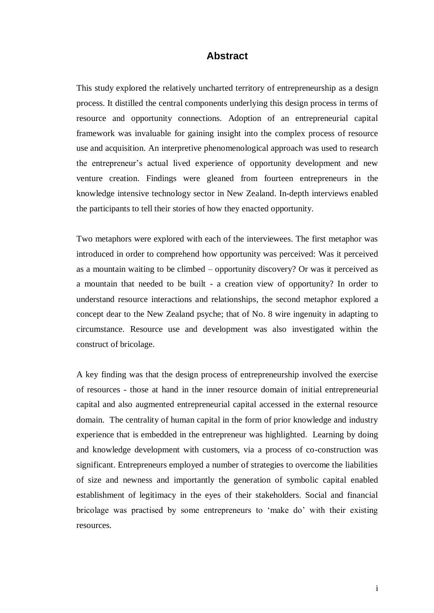#### **Abstract**

<span id="page-2-0"></span>This study explored the relatively uncharted territory of entrepreneurship as a design process. It distilled the central components underlying this design process in terms of resource and opportunity connections. Adoption of an entrepreneurial capital framework was invaluable for gaining insight into the complex process of resource use and acquisition. An interpretive phenomenological approach was used to research the entrepreneur"s actual lived experience of opportunity development and new venture creation. Findings were gleaned from fourteen entrepreneurs in the knowledge intensive technology sector in New Zealand. In-depth interviews enabled the participants to tell their stories of how they enacted opportunity.

Two metaphors were explored with each of the interviewees. The first metaphor was introduced in order to comprehend how opportunity was perceived: Was it perceived as a mountain waiting to be climbed – opportunity discovery? Or was it perceived as a mountain that needed to be built - a creation view of opportunity? In order to understand resource interactions and relationships, the second metaphor explored a concept dear to the New Zealand psyche; that of No. 8 wire ingenuity in adapting to circumstance. Resource use and development was also investigated within the construct of bricolage.

A key finding was that the design process of entrepreneurship involved the exercise of resources - those at hand in the inner resource domain of initial entrepreneurial capital and also augmented entrepreneurial capital accessed in the external resource domain. The centrality of human capital in the form of prior knowledge and industry experience that is embedded in the entrepreneur was highlighted. Learning by doing and knowledge development with customers, via a process of co-construction was significant. Entrepreneurs employed a number of strategies to overcome the liabilities of size and newness and importantly the generation of symbolic capital enabled establishment of legitimacy in the eyes of their stakeholders. Social and financial bricolage was practised by some entrepreneurs to "make do" with their existing resources.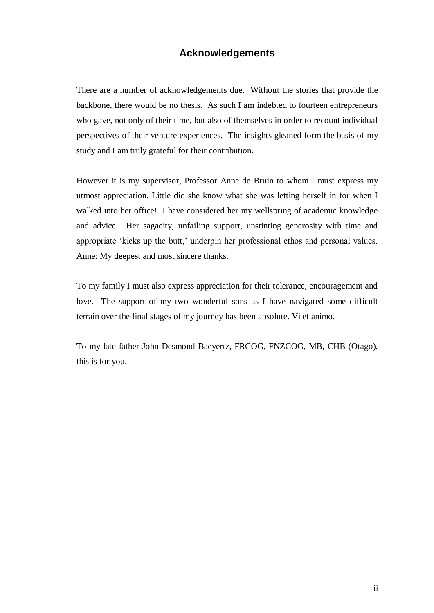## **Acknowledgements**

<span id="page-3-0"></span>There are a number of acknowledgements due. Without the stories that provide the backbone, there would be no thesis. As such I am indebted to fourteen entrepreneurs who gave, not only of their time, but also of themselves in order to recount individual perspectives of their venture experiences. The insights gleaned form the basis of my study and I am truly grateful for their contribution.

However it is my supervisor, Professor Anne de Bruin to whom I must express my utmost appreciation. Little did she know what she was letting herself in for when I walked into her office! I have considered her my wellspring of academic knowledge and advice. Her sagacity, unfailing support, unstinting generosity with time and appropriate 'kicks up the butt,' underpin her professional ethos and personal values. Anne: My deepest and most sincere thanks.

To my family I must also express appreciation for their tolerance, encouragement and love. The support of my two wonderful sons as I have navigated some difficult terrain over the final stages of my journey has been absolute. Vi et animo.

To my late father John Desmond Baeyertz, FRCOG, FNZCOG, MB, CHB (Otago), this is for you.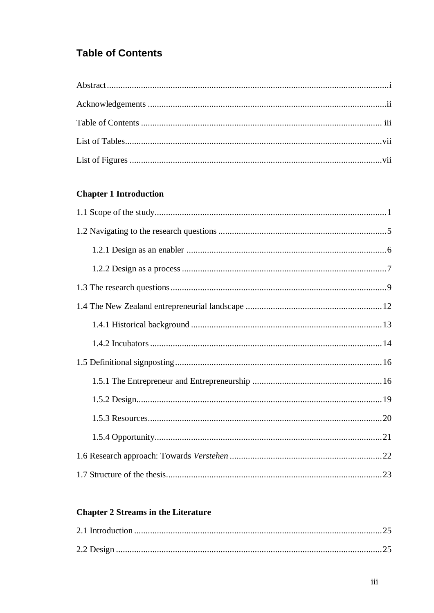# <span id="page-4-0"></span>**Table of Contents**

## **Chapter 1 Introduction**

## **Chapter 2 Streams in the Literature**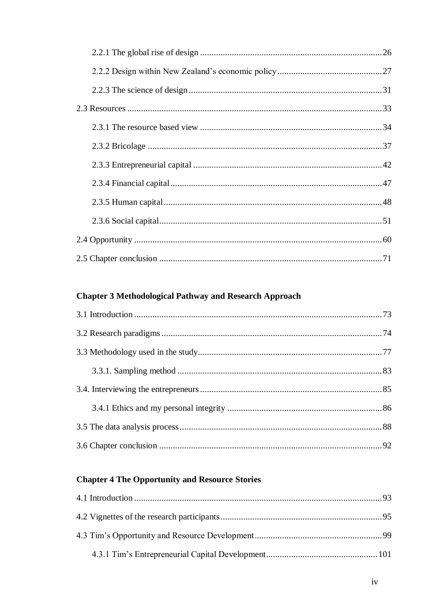## **Chapter 3 Methodological Pathway and Research Approach**

# **Chapter 4 The Opportunity and Resource Stories**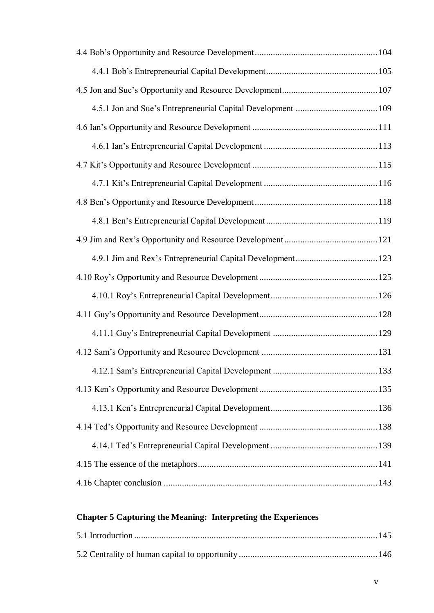# **Chapter 5 Capturing the Meaning: Interpreting the Experiences**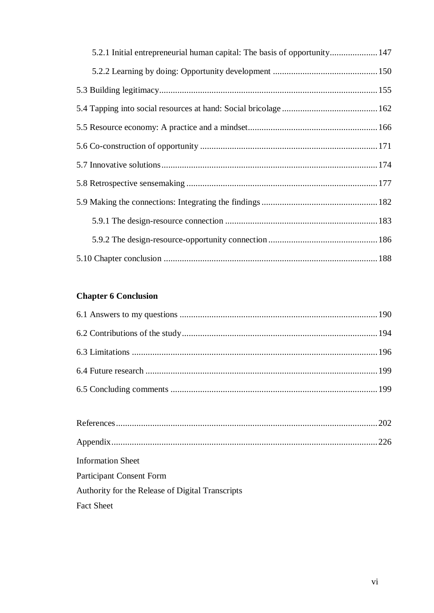| 5.2.1 Initial entrepreneurial human capital: The basis of opportunity 147 |
|---------------------------------------------------------------------------|
|                                                                           |
|                                                                           |
|                                                                           |
|                                                                           |
|                                                                           |
|                                                                           |
|                                                                           |
|                                                                           |
|                                                                           |
|                                                                           |
|                                                                           |

# **Chapter 6 Conclusion**

<span id="page-7-0"></span>

| <b>Information Sheet</b>                         |  |
|--------------------------------------------------|--|
| <b>Participant Consent Form</b>                  |  |
| Authority for the Release of Digital Transcripts |  |
| <b>Fact Sheet</b>                                |  |
|                                                  |  |